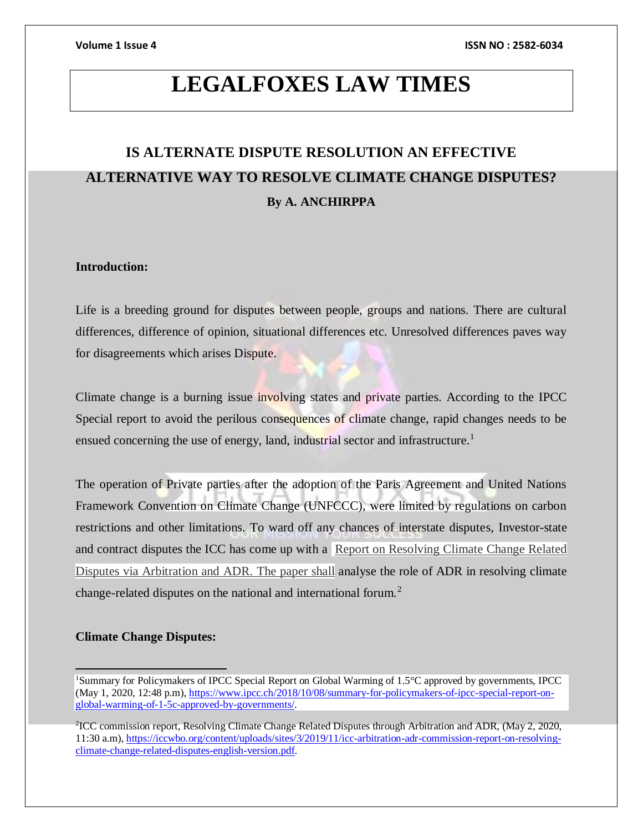# **LEGALFOXES LAW TIMES**

# **IS ALTERNATE DISPUTE RESOLUTION AN EFFECTIVE ALTERNATIVE WAY TO RESOLVE CLIMATE CHANGE DISPUTES? By A. ANCHIRPPA**

# **Introduction:**

Life is a breeding ground for disputes between people, groups and nations. There are cultural differences, difference of opinion, situational differences etc. Unresolved differences paves way for disagreements which arises Dispute.

Climate change is a burning issue involving states and private parties. According to the IPCC Special report to avoid the perilous consequences of climate change, rapid changes needs to be ensued concerning the use of energy, land, industrial sector and infrastructure.<sup>1</sup>

The operation of Private parties after the adoption of the Paris Agreement and United Nations Framework Convention on Climate Change (UNFCCC), were limited by regulations on carbon restrictions and other limitations. To ward off any chances of interstate disputes, Investor-state and contract disputes the ICC has come up with a Report [on Resolving Climate Change Related](https://iccwbo.org/content/uploads/sites/3/2019/11/icc-arbitration-adr-commission-report-on-resolving-climate-change-related-disputes-english-version.pdf)  [Disputes via Arbitration and ADR.](https://iccwbo.org/content/uploads/sites/3/2019/11/icc-arbitration-adr-commission-report-on-resolving-climate-change-related-disputes-english-version.pdf) The paper shall analyse the role of ADR in resolving climate change-related disputes on the national and international forum.<sup>2</sup>

# **Climate Change Disputes:**

<sup>1</sup>Summary for Policymakers of IPCC Special Report on Global Warming of 1.5°C approved by governments, IPCC (May 1, 2020, 12:48 p.m), [https://www.ipcc.ch/2018/10/08/summary-for-policymakers-of-ipcc-special-report-on](https://www.ipcc.ch/2018/10/08/summary-for-policymakers-of-ipcc-special-report-on-global-warming-of-1-5c-approved-by-governments/)[global-warming-of-1-5c-approved-by-governments/.](https://www.ipcc.ch/2018/10/08/summary-for-policymakers-of-ipcc-special-report-on-global-warming-of-1-5c-approved-by-governments/)

<sup>2</sup> ICC commission report, Resolving Climate Change Related Disputes through Arbitration and ADR, (May 2, 2020, 11:30 a.m), [https://iccwbo.org/content/uploads/sites/3/2019/11/icc-arbitration-adr-commission-report-on-resolving](https://iccwbo.org/content/uploads/sites/3/2019/11/icc-arbitration-adr-commission-report-on-resolving-climate-change-related-disputes-english-version.pdf)[climate-change-related-disputes-english-version.pdf.](https://iccwbo.org/content/uploads/sites/3/2019/11/icc-arbitration-adr-commission-report-on-resolving-climate-change-related-disputes-english-version.pdf)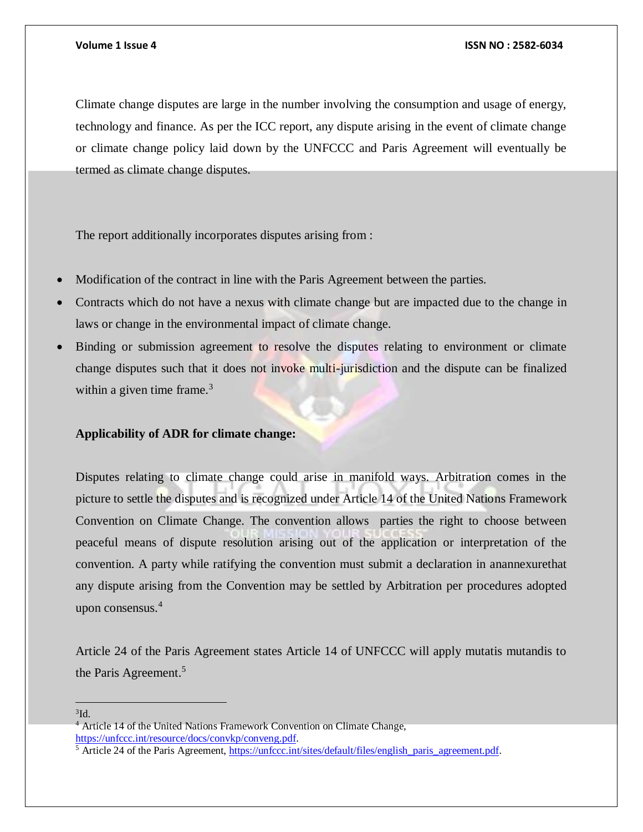Climate change disputes are large in the number involving the consumption and usage of energy, technology and finance. As per the ICC report, any dispute arising in the event of climate change or climate change policy laid down by the UNFCCC and Paris Agreement will eventually be termed as climate change disputes.

The report additionally incorporates disputes arising from :

- Modification of the contract in line with the Paris Agreement between the parties.
- Contracts which do not have a nexus with climate change but are impacted due to the change in laws or change in the environmental impact of climate change.
- Binding or submission agreement to resolve the disputes relating to environment or climate change disputes such that it does not invoke multi-jurisdiction and the dispute can be finalized within a given time frame. $3$

## **Applicability of ADR for climate change:**

Disputes relating to climate change could arise in manifold ways. Arbitration comes in the picture to settle the disputes and is recognized under Article 14 of the United Nations Framework Convention on Climate Change. The convention allows parties the right to choose between peaceful means of dispute resolution arising out of the application or interpretation of the convention. A party while ratifying the convention must submit a declaration in anannexurethat any dispute arising from the Convention may be settled by Arbitration per procedures adopted upon consensus.<sup>4</sup>

Article 24 of the Paris Agreement states Article 14 of UNFCCC will apply mutatis mutandis to the Paris Agreement.<sup>5</sup>

#### ${}^{3}$ Id.

<sup>4</sup> Article 14 of the United Nations Framework Convention on Climate Change, [https://unfccc.int/resource/docs/convkp/conveng.pdf.](https://unfccc.int/resource/docs/convkp/conveng.pdf)

 $5$  Article 24 of the Paris Agreement, https://unfccc.int/sites/default/files/english paris agreement.pdf.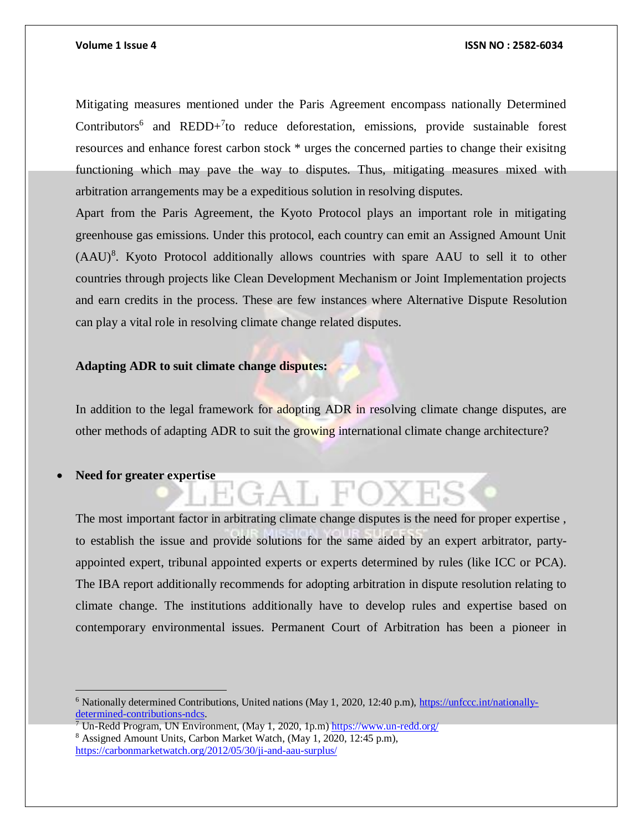Mitigating measures mentioned under the Paris Agreement encompass nationally Determined Contributors<sup>6</sup> and REDD+<sup>7</sup>to reduce deforestation, emissions, provide sustainable forest resources and enhance forest carbon stock \* urges the concerned parties to change their exisitng functioning which may pave the way to disputes. Thus, mitigating measures mixed with arbitration arrangements may be a expeditious solution in resolving disputes.

Apart from the Paris Agreement, the Kyoto Protocol plays an important role in mitigating greenhouse gas emissions. Under this protocol, each country can emit an Assigned Amount Unit (AAU)<sup>8</sup>. Kyoto Protocol additionally allows countries with spare AAU to sell it to other countries through projects like Clean Development Mechanism or Joint Implementation projects and earn credits in the process. These are few instances where Alternative Dispute Resolution can play a vital role in resolving climate change related disputes.

## **Adapting ADR to suit climate change disputes:**

In addition to the legal framework for adopting ADR in resolving climate change disputes, are other methods of adapting ADR to suit the growing international climate change architecture?

 $AT$ ,  $FO$ 

**Need for greater expertise**

 $\overline{a}$ 

The most important factor in arbitrating climate change disputes is the need for proper expertise , to establish the issue and provide solutions for the same aided by an expert arbitrator, partyappointed expert, tribunal appointed experts or experts determined by rules (like ICC or PCA). The IBA report additionally recommends for adopting arbitration in dispute resolution relating to climate change. The institutions additionally have to develop rules and expertise based on contemporary environmental issues. Permanent Court of Arbitration has been a pioneer in

<sup>7</sup> Un-Redd Program, UN Environment, (May 1, 2020, 1p.m)<https://www.un-redd.org/> <sup>8</sup> Assigned Amount Units, Carbon Market Watch, (May 1, 2020, 12:45 p.m),

<sup>6</sup> Nationally determined Contributions, United nations (May 1, 2020, 12:40 p.m), [https://unfccc.int/nationally](https://unfccc.int/nationally-determined-contributions-ndcs)[determined-contributions-ndcs.](https://unfccc.int/nationally-determined-contributions-ndcs)

<https://carbonmarketwatch.org/2012/05/30/ji-and-aau-surplus/>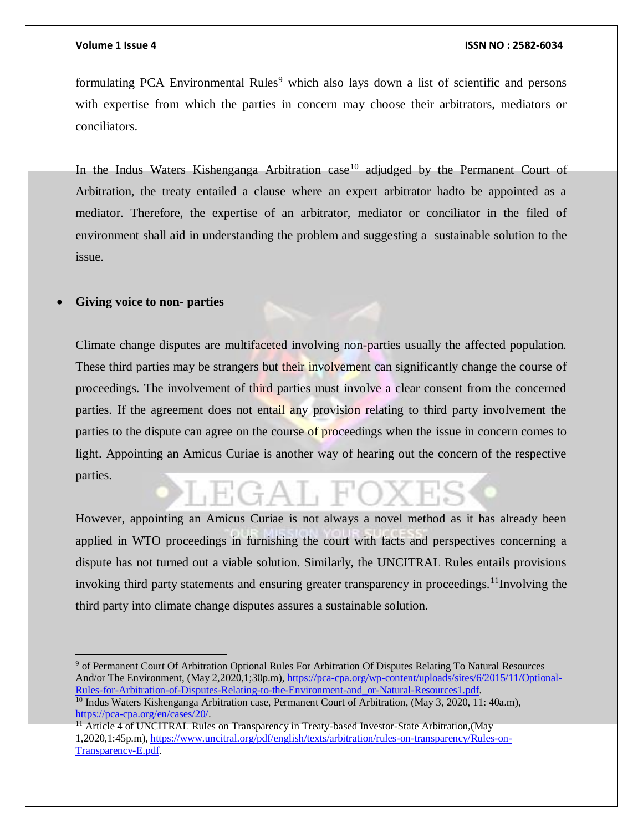#### **Volume 1 Issue 4 ISSN NO : 2582-6034**

formulating PCA Environmental Rules<sup>9</sup> which also lays down a list of scientific and persons with expertise from which the parties in concern may choose their arbitrators, mediators or conciliators.

In the Indus Waters Kishenganga Arbitration case<sup>10</sup> adjudged by the Permanent Court of Arbitration, the treaty entailed a clause where an expert arbitrator hadto be appointed as a mediator. Therefore, the expertise of an arbitrator, mediator or conciliator in the filed of environment shall aid in understanding the problem and suggesting a sustainable solution to the issue.

# **Giving voice to non- parties**

Climate change disputes are multifaceted involving non-parties usually the affected population. These third parties may be strangers but their involvement can significantly change the course of proceedings. The involvement of third parties must involve a clear consent from the concerned parties. If the agreement does not entail any provision relating to third party involvement the parties to the dispute can agree on the course of proceedings when the issue in concern comes to light. Appointing an Amicus Curiae is another way of hearing out the concern of the respective parties.

 $H(G+A)$ ,  $H'$ 

However, appointing an Amicus Curiae is not always a novel method as it has already been applied in WTO proceedings in furnishing the court with facts and perspectives concerning a dispute has not turned out a viable solution. Similarly, the UNCITRAL Rules entails provisions invoking third party statements and ensuring greater transparency in proceedings.<sup>11</sup>Involving the third party into climate change disputes assures a sustainable solution.

<sup>&</sup>lt;sup>9</sup> of Permanent Court Of Arbitration Optional Rules For Arbitration Of Disputes Relating To Natural Resources And/or The Environment, (May 2,2020,1;30p.m)[, https://pca-cpa.org/wp-content/uploads/sites/6/2015/11/Optional-](https://pca-cpa.org/wp-content/uploads/sites/6/2015/11/Optional-Rules-for-Arbitration-of-Disputes-Relating-to-the-Environment-and_or-Natural-Resources1.pdf)[Rules-for-Arbitration-of-Disputes-Relating-to-the-Environment-and\\_or-Natural-Resources1.pdf.](https://pca-cpa.org/wp-content/uploads/sites/6/2015/11/Optional-Rules-for-Arbitration-of-Disputes-Relating-to-the-Environment-and_or-Natural-Resources1.pdf)

<sup>&</sup>lt;sup>10</sup> Indus Waters Kishenganga Arbitration case, Permanent Court of Arbitration, (May 3, 2020, 11: 40a.m), [https://pca-cpa.org/en/cases/20/.](https://pca-cpa.org/en/cases/20/) 

 $11$  Article 4 of UNCITRAL Rules on Transparency in Treaty-based Investor-State Arbitration, (May 1,2020,1:45p.m), [https://www.uncitral.org/pdf/english/texts/arbitration/rules-on-transparency/Rules-on-](https://www.uncitral.org/pdf/english/texts/arbitration/rules-on-transparency/Rules-on-Transparency-E.pdf)[Transparency-E.pdf.](https://www.uncitral.org/pdf/english/texts/arbitration/rules-on-transparency/Rules-on-Transparency-E.pdf)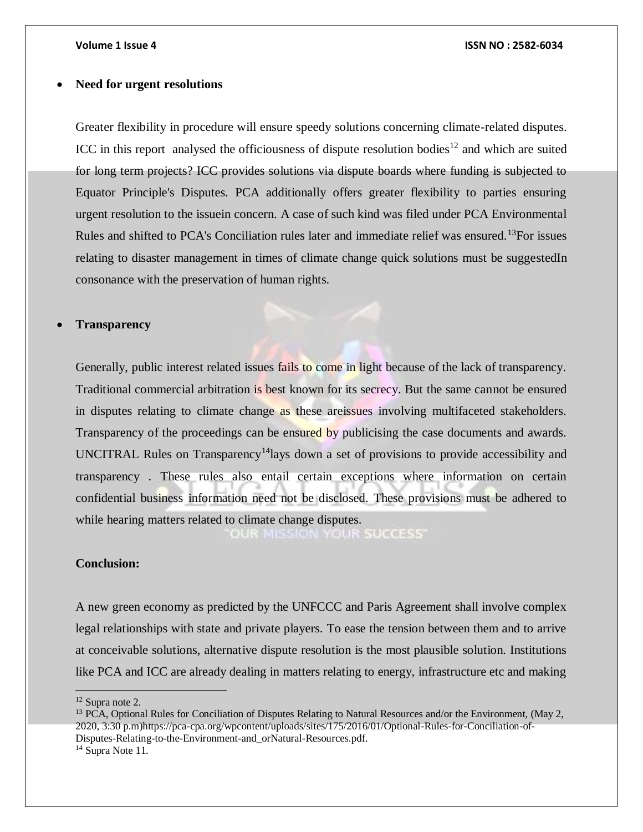#### **Volume 1 Issue 4 ISSN NO : 2582-6034**

### **Need for urgent resolutions**

Greater flexibility in procedure will ensure speedy solutions concerning climate-related disputes. ICC in this report analysed the officiousness of dispute resolution bodies<sup>12</sup> and which are suited for long term projects? ICC provides solutions via dispute boards where funding is subjected to Equator Principle's Disputes. PCA additionally offers greater flexibility to parties ensuring urgent resolution to the issuein concern. A case of such kind was filed under PCA Environmental Rules and shifted to PCA's Conciliation rules later and immediate relief was ensured.<sup>13</sup>For issues relating to disaster management in times of climate change quick solutions must be suggestedIn consonance with the preservation of human rights.

### **Transparency**

Generally, public interest related issues fails to come in light because of the lack of transparency. Traditional commercial arbitration is best known for its secrecy. But the same cannot be ensured in disputes relating to climate change as these areissues involving multifaceted stakeholders. Transparency of the proceedings can be ensured by publicising the case documents and awards. UNCITRAL Rules on Transparency<sup>14</sup>lays down a set of provisions to provide accessibility and transparency . These rules also entail certain exceptions where information on certain confidential business information need not be disclosed. These provisions must be adhered to while hearing matters related to climate change disputes.

**OUR MISSION YOUR SUCCESS'** 

## **Conclusion:**

A new green economy as predicted by the UNFCCC and Paris Agreement shall involve complex legal relationships with state and private players. To ease the tension between them and to arrive at conceivable solutions, alternative dispute resolution is the most plausible solution. Institutions like PCA and ICC are already dealing in matters relating to energy, infrastructure etc and making

 $\overline{a}$ 

<sup>12</sup> Supra note 2.

<sup>&</sup>lt;sup>13</sup> PCA, Optional Rules for Conciliation of Disputes Relating to Natural Resources and/or the Environment, (May 2, 2020, 3:30 p.m)https://pca-cpa.org/wpcontent/uploads/sites/175/2016/01/Optional-Rules-for-Conciliation-of-Disputes-Relating-to-the-Environment-and\_orNatural-Resources.pdf.

<sup>&</sup>lt;sup>14</sup> Supra Note 11.